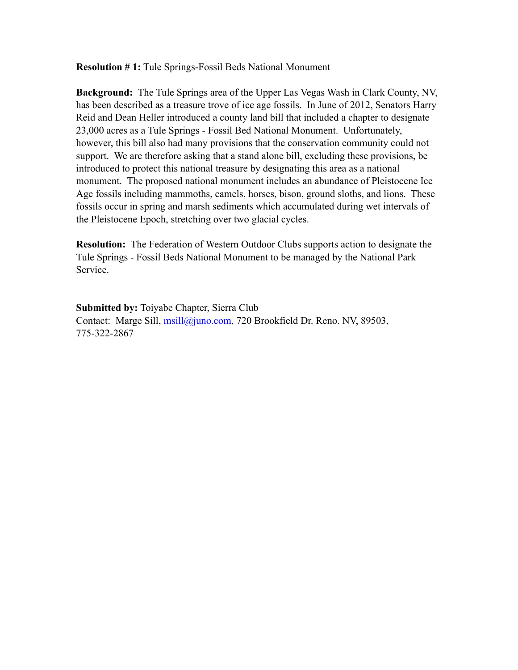**Resolution # 1:** Tule Springs-Fossil Beds National Monument

**Background:** The Tule Springs area of the Upper Las Vegas Wash in Clark County, NV, has been described as a treasure trove of ice age fossils. In June of 2012, Senators Harry Reid and Dean Heller introduced a county land bill that included a chapter to designate 23,000 acres as a Tule Springs - Fossil Bed National Monument. Unfortunately, however, this bill also had many provisions that the conservation community could not support. We are therefore asking that a stand alone bill, excluding these provisions, be introduced to protect this national treasure by designating this area as a national monument. The proposed national monument includes an abundance of Pleistocene Ice Age fossils including mammoths, camels, horses, bison, ground sloths, and lions. These fossils occur in spring and marsh sediments which accumulated during wet intervals of the Pleistocene Epoch, stretching over two glacial cycles.

**Resolution:** The Federation of Western Outdoor Clubs supports action to designate the Tule Springs - Fossil Beds National Monument to be managed by the National Park Service.

**Submitted by:** Toiyabe Chapter, Sierra Club Contact: Marge Sill, *msill@juno.com*, 720 Brookfield Dr. Reno. NV, 89503, 775-322-2867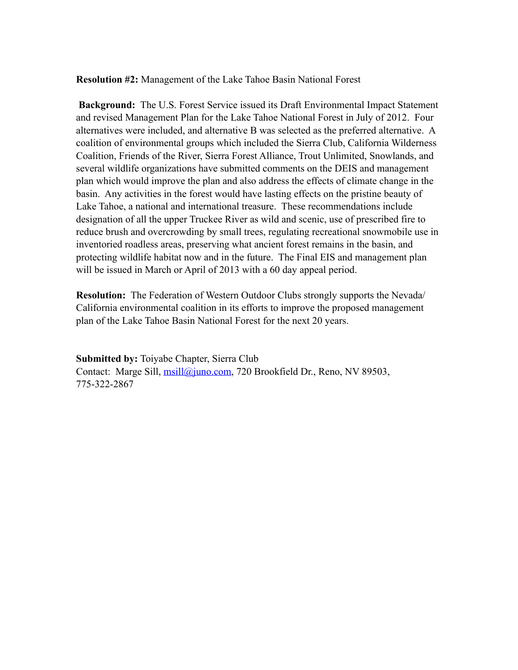**Resolution #2:** Management of the Lake Tahoe Basin National Forest

**Background:** The U.S. Forest Service issued its Draft Environmental Impact Statement and revised Management Plan for the Lake Tahoe National Forest in July of 2012. Four alternatives were included, and alternative B was selected as the preferred alternative. A coalition of environmental groups which included the Sierra Club, California Wilderness Coalition, Friends of the River, Sierra Forest Alliance, Trout Unlimited, Snowlands, and several wildlife organizations have submitted comments on the DEIS and management plan which would improve the plan and also address the effects of climate change in the basin. Any activities in the forest would have lasting effects on the pristine beauty of Lake Tahoe, a national and international treasure. These recommendations include designation of all the upper Truckee River as wild and scenic, use of prescribed fire to reduce brush and overcrowding by small trees, regulating recreational snowmobile use in inventoried roadless areas, preserving what ancient forest remains in the basin, and protecting wildlife habitat now and in the future. The Final EIS and management plan will be issued in March or April of 2013 with a 60 day appeal period.

**Resolution:** The Federation of Western Outdoor Clubs strongly supports the Nevada/ California environmental coalition in its efforts to improve the proposed management plan of the Lake Tahoe Basin National Forest for the next 20 years.

**Submitted by:** Toiyabe Chapter, Sierra Club Contact: Marge Sill, *msill@juno.com*, 720 Brookfield Dr., Reno, NV 89503, 775-322-2867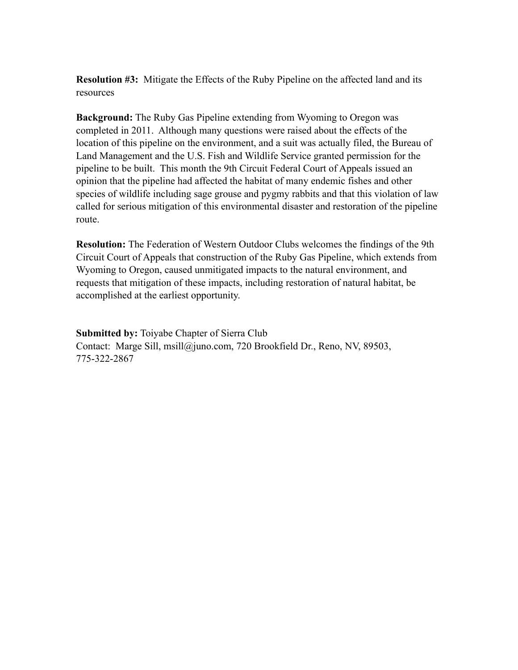**Resolution #3:** Mitigate the Effects of the Ruby Pipeline on the affected land and its resources

**Background:** The Ruby Gas Pipeline extending from Wyoming to Oregon was completed in 2011. Although many questions were raised about the effects of the location of this pipeline on the environment, and a suit was actually filed, the Bureau of Land Management and the U.S. Fish and Wildlife Service granted permission for the pipeline to be built. This month the 9th Circuit Federal Court of Appeals issued an opinion that the pipeline had affected the habitat of many endemic fishes and other species of wildlife including sage grouse and pygmy rabbits and that this violation of law called for serious mitigation of this environmental disaster and restoration of the pipeline route.

**Resolution:** The Federation of Western Outdoor Clubs welcomes the findings of the 9th Circuit Court of Appeals that construction of the Ruby Gas Pipeline, which extends from Wyoming to Oregon, caused unmitigated impacts to the natural environment, and requests that mitigation of these impacts, including restoration of natural habitat, be accomplished at the earliest opportunity.

**Submitted by:** Toiyabe Chapter of Sierra Club Contact: Marge Sill, msill@juno.com, 720 Brookfield Dr., Reno, NV, 89503, 775-322-2867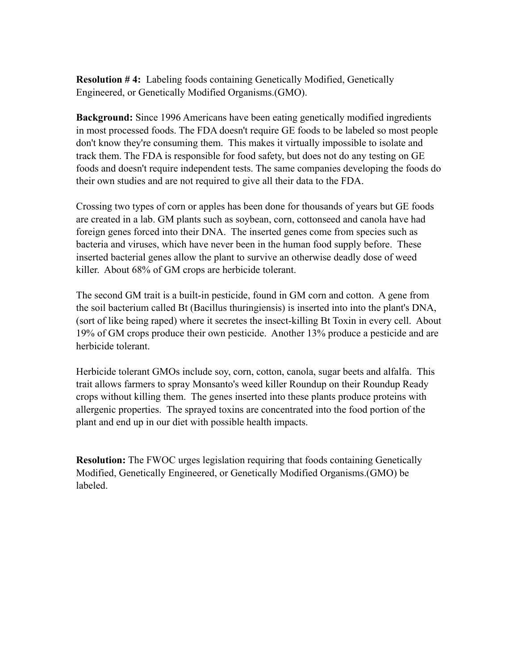**Resolution # 4:** Labeling foods containing Genetically Modified, Genetically Engineered, or Genetically Modified Organisms.(GMO).

**Background:** Since 1996 Americans have been eating genetically modified ingredients in most processed foods. The FDA doesn't require GE foods to be labeled so most people don't know they're consuming them. This makes it virtually impossible to isolate and track them. The FDA is responsible for food safety, but does not do any testing on GE foods and doesn't require independent tests. The same companies developing the foods do their own studies and are not required to give all their data to the FDA.

Crossing two types of corn or apples has been done for thousands of years but GE foods are created in a lab. GM plants such as soybean, corn, cottonseed and canola have had foreign genes forced into their DNA. The inserted genes come from species such as bacteria and viruses, which have never been in the human food supply before. These inserted bacterial genes allow the plant to survive an otherwise deadly dose of weed killer. About 68% of GM crops are herbicide tolerant.

The second GM trait is a built-in pesticide, found in GM corn and cotton. A gene from the soil bacterium called Bt (Bacillus thuringiensis) is inserted into into the plant's DNA, (sort of like being raped) where it secretes the insect-killing Bt Toxin in every cell. About 19% of GM crops produce their own pesticide. Another 13% produce a pesticide and are herbicide tolerant.

Herbicide tolerant GMOs include soy, corn, cotton, canola, sugar beets and alfalfa. This trait allows farmers to spray Monsanto's weed killer Roundup on their Roundup Ready crops without killing them. The genes inserted into these plants produce proteins with allergenic properties. The sprayed toxins are concentrated into the food portion of the plant and end up in our diet with possible health impacts.

**Resolution:** The FWOC urges legislation requiring that foods containing Genetically Modified, Genetically Engineered, or Genetically Modified Organisms.(GMO) be labeled.